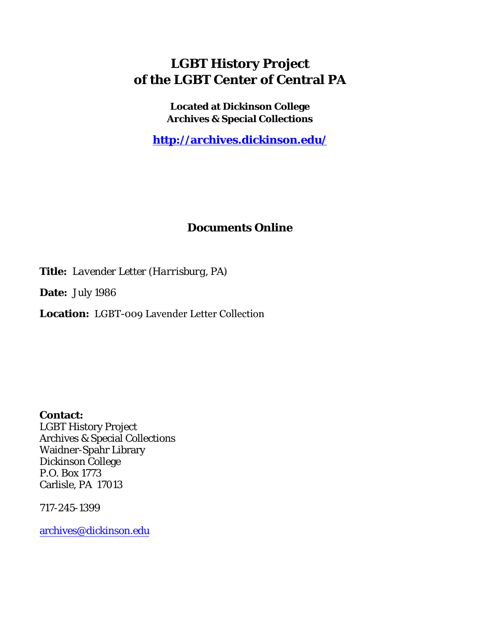## **LGBT History Project of the LGBT Center of Central PA**

**Located at Dickinson College Archives & Special Collections**

**<http://archives.dickinson.edu/>**

## **Documents Online**

**Title:** *Lavender Letter (Harrisburg, PA)*

**Date:** July 1986

**Location:** LGBT-009 Lavender Letter Collection

**Contact:**  LGBT History Project Archives & Special Collections Waidner-Spahr Library Dickinson College P.O. Box 1773 Carlisle, PA 17013

717-245-1399

[archives@dickinson.edu](mailto:archives@dickinson.edu)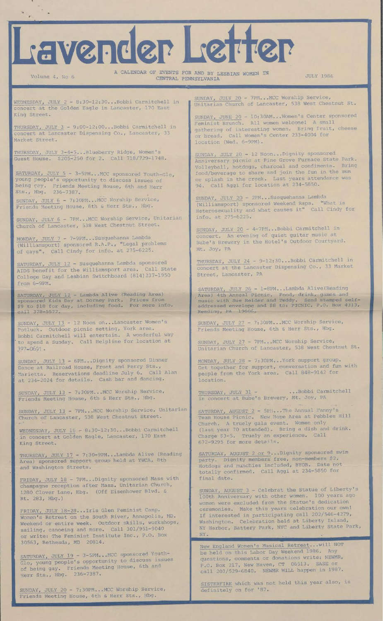## avender Letter

Volume 4, No 6

A CALENDAR OF EVENTS FOR AND BY LESBIAN WOMEN IN CENTRAL PENNSYLVANIA

JULY 1986

WEDNESDAY, JULY 2 - 8:30-12:30\_\_ Bobbi Carmitchell in concert at the Golden Eagle in Lancaster, 170 East King Street.

THURSDAY, JULY 3 - 9:00-12:00...Bobbi Carmitchell in concert at Lancaster Dispensing Co., Lancaster, 33 Market Street.

THURSDAY, JULY 3-4-5...Blueberry Ridge, Women's Guest House. \$205-250 for 2. Call 718/729-1748.

SATURDAY, JULY 5 - 3-5PM...MCC sponsored Youth-Glo, young people's opportunity to discuss issues of being gay. Sts., Hbg. Friends Meeting House, 6th and Herr 236-7387.

SUNDAY, JULY 6 - 7:30PM...MCC Worship Service, Friends Meeting House, 6th & Herr Sts., Hbg.

SUNDAY, JULY 6 - 7PM...MCC Worship Service, Unitarian Church of Lancaster, 538 West Chestnut Street.

MONDAY, JULY 7 - 7-9PM...Susquehanna Lambda<br>(Williamsport) sponsored R.A.P., "Legal problems of gays". Call Cindy for info, at 275-6225.

SATURDAY, JULY 12 - Susquehanna Lambda sponsored AIDS benefit for the Williamsport area. Call State College Gay and Lesbian Switchboard (814)237-1950 from 6-9PM.

SATURDAY, JULY 12 - Lambda Alive (Reading Area)<br>sponsored Kids Day at Dorney Park. Prices from salukuar, Juli 12<br>sponsored Kids Day at Dorney Park. Prices from<br>\$9 to \$18 for day, including food. For more info. \$9 to \$18 for day, including food. call 378-5577.

SUNDAY, JULY 13 - 12 Noon on...Lancaster Women's picnic setting, York area, will entertain. A wonderful way to spend a Sunday. Call Helpline for location at Potluck. Outdoor Bobbi Carmitchell 397-0691 .

SUNDAY, JULY 13 - 6PM...Dignity sponsored Dinner Dance at Railroad House, Front and Perry Sts., Marietta. Reservations deadline July 6. Call Alan at 234-2024 for details. Cash bar and dancing.

SUNDAY, JULY 13 - 7:30PM...MCC Worship Service, Friends Meeting House, 6th & Herr Sts., Hbg.

SUNDAY, JULY 13 - 7PM..-MCC Worship Service, Unitarian Church of Lancaster, 538 West Chestnut Street.

WEDNESDAY, JULY 16 - 8:30-12:30...Bobbi Carmitchell in concert at Golden Eagle, Lancaster, 170 East King Street.

THURSDAY, JULY 17 - 7:30-9PM...Lambda Alive (Reading Area) sponsored support group held at YWCA, Sth and Washington Streets.

FRIDAY, JULY 18 - 7PM\_\_ Dignity sponsored Mass with champagne reception after Mass. Unitarian Church, 1280 Clover Lane, Hbg. (Off Eisenhower Blvd. 2 Rt. 283, Hbg.)

FRIDAY, JULY 18-28\_\_ Iris Glen Feminist Camp. Women's Retreat on the South River, Annapolis, MD. Weekend or entire week. Outdoor skills, workshops, sailing, canoeing and more. Call 301/951-9040 or write: The Feminist Institute Inc., P.O. Box 30563, Bethesda, MD 20814.

SATURDAY, JULY 19 - 3-5PM...MCC sponsored Youthyoung people's opportunity to discuss issues of being gay. Friends Meeting House, 6th and Herr Sts., Hbg. 236-7387.

SUNDAY, JULY 20 - 7:30PM...MCC Worship Service, Friends Meeting House, 6th & Herr Sts., Hbg.

SUNDAY, JULY 20 - 7PM\_\_ MCC Worship Service, Unitarian Church of Lancaster, 538 West Chestnut St.

SUNDAY, JUNE 20 - 10:30AM\_\_ Women's Center sponsored Feminist Brunch. All women welcome! A small gathering of interesting women. Bring fruit, cheese or bread. Call Women's Center 233-4004 for location (Wed. 6-9PM).

SUNDAY, JULY 20 - 12 Noon...Dignity sponsored Anniversary picnic at Pine Grove Furnace State Volleyball, hotdogs, charcoal and condiments, food/beverage to share and join the fun in the or splash in the creek. Last years attendance 94. Call Aggi for location at 234-5850. Park. Bring sun was

SUNDAY, JULY 20 - 2PM\_\_ Susquehanna Lambda (Williamsport) sponsored Weekend Raps. "What is Heterosexuality and what causes it" Call Cindy for info, at 275-6225.

SUNDAY, JULY 20 - 4-7PM...Bobbi Carmitchell in concert. An evening of quiet guitar music at Bube's Brewery in the Hotel's Outdoor Courtyard. Mt. Joy, PA

THURSDAY, JULY 24 - 9-12:30...Bobbi Carmitchell in concert at the Lancaster Dispensing Co., 33 Market Street, Lancaster, PA

SATURDAY, JULY 26 - 1-8PM\_\_ Lambda Alive(Reading Area) 4th Annual Picnic. Food, drink, games and music with Sue Reider and Teddy. Send stamped self-addressed envelope and \$8 to: PICNIC, P.O. Box 4313, Reading, PA 19606.

SUNDAY, JULY 27 - 7:30PM...MCC Worship Service, Friends Meeting House, 6th & Herr Sts., Hbg.

SUNDAY, JULY 27 - 7PM...MCC Worship Service, Unitarian Church of Lancaster, 538 West Chestnut St.

people from the York area. Call 848-9142 for MONDAY, JULY 28 - 7:30PM...York support group. Get together for support, conversation and fun with location.

THURSDAY, JULY 31 in concert at Bube's ...Bobbi Carmitchell Brewery, Mt. Joy, PA

SATURDAY, AUGUST 2 - 5PM...The Annual Fanny's Team House Picnic. New Hope Area at Pebbles Hill Church. A truely gala event. Women only (last year 70 attended). Bring a dish and drink. Charge \$3-5. Truely an experience. Call 672-9295 for more details.

SATURDAY, AUGUST <sup>2</sup> or 9-- Dignity sponsored swim party. Dignity members free, non-members \$2. Hotdogs and munchies included, BYOB. Date not totally confirmed. Call Aggi at 234-5850 for final date.

SUNDAY, AUGUST 3 - Celebrat the Statue of Liberty's 100th Anniversary with other women. 100 years ago women were excluded from the Statue's dedication ceremonies. Make this years celebration our own! If interested in participating call 202/546-4279, Washington. Celebration held at Liberty Island, NY Harbor, Battery Park, NYC and Liberty State Park NY.

New England Women's Musical Retreat...will NOT be held on this Labor Day Weekend 1986. Any questions, comments or donations write: NEWMR, P.O. Box 217, New Haven, CT 06513. SASE or call 203/529-6840. NEWMR WILL happen in 1987.

SISTERFIRE which was not held this year also, is definitely on for '87.